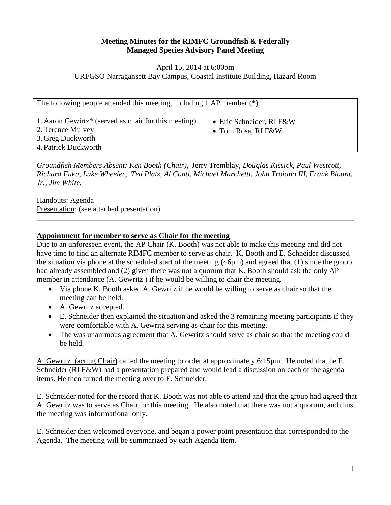#### **Meeting Minutes for the RIMFC Groundfish & Federally Managed Species Advisory Panel Meeting**

#### April 15, 2014 at 6:00pm URI/GSO Narragansett Bay Campus, Coastal Institute Building, Hazard Room

| The following people attended this meeting, including 1 AP member $(*)$ .                                                          |                                                |
|------------------------------------------------------------------------------------------------------------------------------------|------------------------------------------------|
| 1. Aaron Gewirtz <sup>*</sup> (served as chair for this meeting)<br>2. Terence Mulvey<br>3. Greg Duckworth<br>4. Patrick Duckworth | • Eric Schneider, RI F&W<br>• Tom Rosa, RI F&W |

*Groundfish Members Absent: Ken Booth (Chair),* Jerry Tremblay, *Douglas Kissick, Paul Westcott, Richard Fuka, Luke Wheeler, Ted Platz, Al Conti, Michael Marchetti, John Troiano III, Frank Blount, Jr., Jim White.*

Handouts: Agenda Presentation: (see attached presentation)

#### **Appointment for member to serve as Chair for the meeting**

Due to an unforeseen event, the AP Chair (K. Booth) was not able to make this meeting and did not have time to find an alternate RIMFC member to serve as chair. K. Booth and E. Schneider discussed the situation via phone at the scheduled start of the meeting  $(\sim 6 \text{pm})$  and agreed that (1) since the group had already assembled and (2) given there was not a quorum that K. Booth should ask the only AP member in attendance (A. Gewritz ) if he would be willing to chair the meeting.

- Via phone K. Booth asked A. Gewritz if he would be willing to serve as chair so that the meeting can be held.
- A. Gewritz accepted.
- E. Schneider then explained the situation and asked the 3 remaining meeting participants if they were comfortable with A. Gewritz serving as chair for this meeting.
- The was unanimous agreement that A. Gewritz should serve as chair so that the meeting could be held.

A. Gewritz (acting Chair) called the meeting to order at approximately 6:15pm. He noted that he E. Schneider (RI F&W) had a presentation prepared and would lead a discussion on each of the agenda items. He then turned the meeting over to E. Schneider.

E. Schneider noted for the record that K. Booth was not able to attend and that the group had agreed that A. Gewritz was to serve as Chair for this meeting. He also noted that there was not a quorum, and thus the meeting was informational only.

E. Schneider then welcomed everyone, and began a power point presentation that corresponded to the Agenda. The meeting will be summarized by each Agenda Item.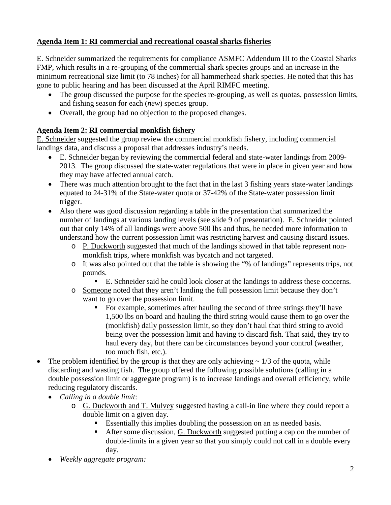# **Agenda Item 1: RI commercial and recreational coastal sharks fisheries**

E. Schneider summarized the requirements for compliance ASMFC Addendum III to the Coastal Sharks FMP, which results in a re-grouping of the commercial shark species groups and an increase in the minimum recreational size limit (to 78 inches) for all hammerhead shark species. He noted that this has gone to public hearing and has been discussed at the April RIMFC meeting.

- The group discussed the purpose for the species re-grouping, as well as quotas, possession limits, and fishing season for each (*new*) species group.
- Overall, the group had no objection to the proposed changes.

## **Agenda Item 2: RI commercial monkfish fishery**

E. Schneider suggested the group review the commercial monkfish fishery, including commercial landings data, and discuss a proposal that addresses industry's needs.

- E. Schneider began by reviewing the commercial federal and state-water landings from 2009- 2013. The group discussed the state-water regulations that were in place in given year and how they may have affected annual catch.
- There was much attention brought to the fact that in the last 3 fishing years state-water landings equated to 24-31% of the State-water quota or 37-42% of the State-water possession limit trigger.
- Also there was good discussion regarding a table in the presentation that summarized the number of landings at various landing levels (see slide 9 of presentation). E. Schneider pointed out that only 14% of all landings were above 500 lbs and thus, he needed more information to understand how the current possession limit was restricting harvest and causing discard issues.
	- o P. Duckworth suggested that much of the landings showed in that table represent nonmonkfish trips, where monkfish was bycatch and not targeted.
	- o It was also pointed out that the table is showing the "% of landings" represents trips, not pounds.
		- E. Schneider said he could look closer at the landings to address these concerns.
	- o Someone noted that they aren't landing the full possession limit because they don't want to go over the possession limit.
		- For example, sometimes after hauling the second of three strings they'll have 1,500 lbs on board and hauling the third string would cause them to go over the (monkfish) daily possession limit, so they don't haul that third string to avoid being over the possession limit and having to discard fish. That said, they try to haul every day, but there can be circumstances beyond your control (weather, too much fish, etc.).
- The problem identified by the group is that they are only achieving  $\sim 1/3$  of the quota, while discarding and wasting fish. The group offered the following possible solutions (calling in a double possession limit or aggregate program) is to increase landings and overall efficiency, while reducing regulatory discards.
	- *Calling in a double limit*:
		- o G. Duckworth and T. Mulvey suggested having a call-in line where they could report a double limit on a given day.
			- Essentially this implies doubling the possession on an as needed basis.
			- After some discussion, G. Duckworth suggested putting a cap on the number of double-limits in a given year so that you simply could not call in a double every day.
	- *Weekly aggregate program:*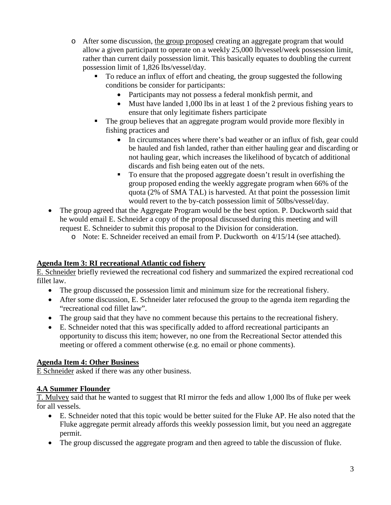- o After some discussion, the group proposed creating an aggregate program that would allow a given participant to operate on a weekly 25,000 lb/vessel/week possession limit, rather than current daily possession limit. This basically equates to doubling the current possession limit of 1,826 lbs/vessel/day.
	- To reduce an influx of effort and cheating, the group suggested the following conditions be consider for participants:
		- Participants may not possess a federal monkfish permit, and
		- Must have landed 1,000 lbs in at least 1 of the 2 previous fishing years to ensure that only legitimate fishers participate
	- The group believes that an aggregate program would provide more flexibly in fishing practices and
		- In circumstances where there's bad weather or an influx of fish, gear could be hauled and fish landed, rather than either hauling gear and discarding or not hauling gear, which increases the likelihood of bycatch of additional discards and fish being eaten out of the nets.
		- To ensure that the proposed aggregate doesn't result in overfishing the group proposed ending the weekly aggregate program when 66% of the quota (2% of SMA TAL) is harvested. At that point the possession limit would revert to the by-catch possession limit of 50lbs/vessel/day.
- The group agreed that the Aggregate Program would be the best option. P. Duckworth said that he would email E. Schneider a copy of the proposal discussed during this meeting and will request E. Schneider to submit this proposal to the Division for consideration.
	- o Note: E. Schneider received an email from P. Duckworth on 4/15/14 (see attached).

## **Agenda Item 3: RI recreational Atlantic cod fishery**

E. Schneider briefly reviewed the recreational cod fishery and summarized the expired recreational cod fillet law.

- The group discussed the possession limit and minimum size for the recreational fishery.
- After some discussion, E. Schneider later refocused the group to the agenda item regarding the "recreational cod fillet law".
- The group said that they have no comment because this pertains to the recreational fishery.
- E. Schneider noted that this was specifically added to afford recreational participants an opportunity to discuss this item; however, no one from the Recreational Sector attended this meeting or offered a comment otherwise (e.g. no email or phone comments).

## **Agenda Item 4: Other Business**

E Schneider asked if there was any other business.

## **4.A Summer Flounder**

T. Mulvey said that he wanted to suggest that RI mirror the feds and allow 1,000 lbs of fluke per week for all vessels.

- E. Schneider noted that this topic would be better suited for the Fluke AP. He also noted that the Fluke aggregate permit already affords this weekly possession limit, but you need an aggregate permit.
- The group discussed the aggregate program and then agreed to table the discussion of fluke.